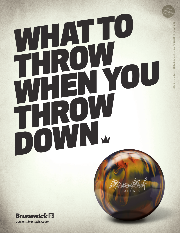# WHO THROW THROW WHEN YOU THROW DOWN W